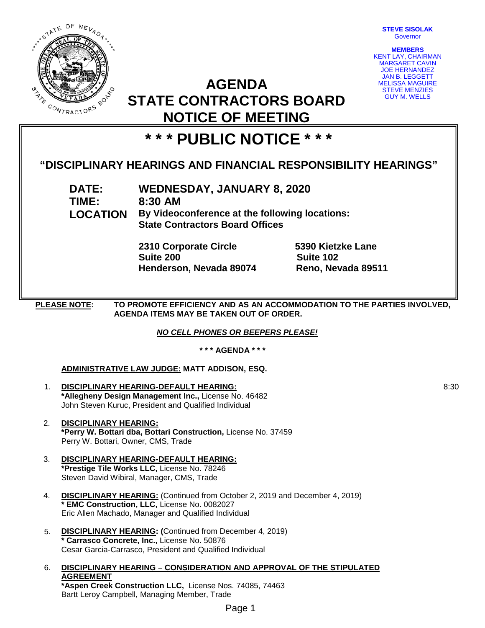

**STEVE SISOLAK** Governor

**MEMBERS** KENT LAY, CHAIRMAN MARGARET CAVIN JOE HERNANDEZ JAN B. LEGGETT MELISSA MAGUIRE STEVE MENZIES GUY M. WELLS

# **AGENDA STATE CONTRACTORS BOARD NOTICE OF MEETING**

# **\* \* \* PUBLIC NOTICE \* \* \***

## **"DISCIPLINARY HEARINGS AND FINANCIAL RESPONSIBILITY HEARINGS"**

**TIME: 8:30 AM**

**DATE: WEDNESDAY, JANUARY 8, 2020 LOCATION By Videoconference at the following locations:**

**State Contractors Board Offices**

**2310 Corporate Circle 5390 Kietzke Lane Henderson, Nevada 89074 Reno, Nevada 89511**

**Suite 102** 

**PLEASE NOTE: TO PROMOTE EFFICIENCY AND AS AN ACCOMMODATION TO THE PARTIES INVOLVED, AGENDA ITEMS MAY BE TAKEN OUT OF ORDER.**

### *NO CELL PHONES OR BEEPERS PLEASE!*

**\* \* \* AGENDA \* \* \***

### **ADMINISTRATIVE LAW JUDGE: MATT ADDISON, ESQ.**

- 1. **DISCIPLINARY HEARING-DEFAULT HEARING: \*Allegheny Design Management Inc.,** License No. 46482 John Steven Kuruc, President and Qualified Individual
- 2. **DISCIPLINARY HEARING: \*Perry W. Bottari dba, Bottari Construction,** License No. 37459 Perry W. Bottari, Owner, CMS, Trade
- 3. **DISCIPLINARY HEARING-DEFAULT HEARING: \*Prestige Tile Works LLC,** License No. 78246 Steven David Wibiral, Manager, CMS, Trade
- 4. **DISCIPLINARY HEARING:** (Continued from October 2, 2019 and December 4, 2019) **\* EMC Construction, LLC,** License No. 0082027 Eric Allen Machado, Manager and Qualified Individual
- 5. **DISCIPLINARY HEARING: (**Continued from December 4, 2019) **\* Carrasco Concrete, Inc.,** License No. 50876 Cesar Garcia-Carrasco, President and Qualified Individual
- 6. **DISCIPLINARY HEARING – CONSIDERATION AND APPROVAL OF THE STIPULATED AGREEMENT \*Aspen Creek Construction LLC,** License Nos. 74085, 74463 Bartt Leroy Campbell, Managing Member, Trade

8:30